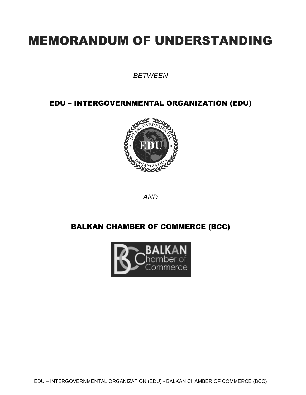# MEMORANDUM OF UNDERSTANDING

*BETWEEN*

EDU – INTERGOVERNMENTAL ORGANIZATION (EDU)



*AND*

## BALKAN CHAMBER OF COMMERCE (BCC)

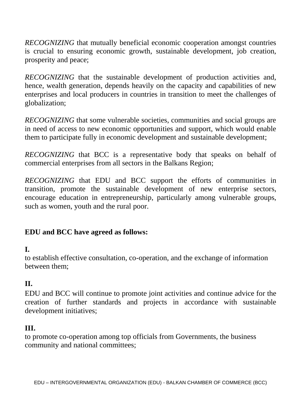*RECOGNIZING* that mutually beneficial economic cooperation amongst countries is crucial to ensuring economic growth, sustainable development, job creation, prosperity and peace;

*RECOGNIZING* that the sustainable development of production activities and, hence, wealth generation, depends heavily on the capacity and capabilities of new enterprises and local producers in countries in transition to meet the challenges of globalization;

*RECOGNIZING* that some vulnerable societies, communities and social groups are in need of access to new economic opportunities and support, which would enable them to participate fully in economic development and sustainable development;

*RECOGNIZING* that BCC is a representative body that speaks on behalf of commercial enterprises from all sectors in the Balkans Region;

*RECOGNIZING* that EDU and BCC support the efforts of communities in transition, promote the sustainable development of new enterprise sectors, encourage education in entrepreneurship, particularly among vulnerable groups, such as women, youth and the rural poor.

### **EDU and BCC have agreed as follows:**

### **I.**

to establish effective consultation, co-operation, and the exchange of information between them;

## **II.**

EDU and BCC will continue to promote joint activities and continue advice for the creation of further standards and projects in accordance with sustainable development initiatives;

### **III.**

to promote co-operation among top officials from Governments, the business community and national committees;